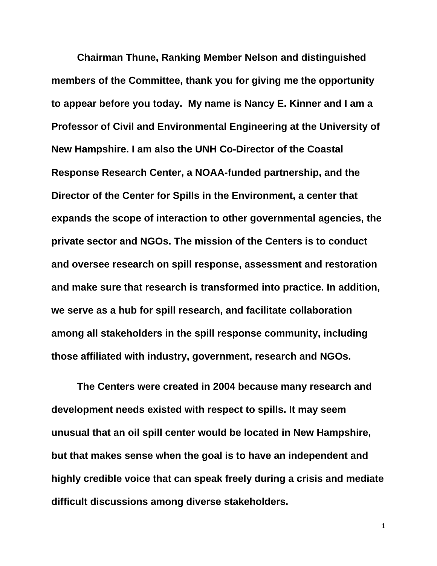**Chairman Thune, Ranking Member Nelson and distinguished members of the Committee, thank you for giving me the opportunity to appear before you today. My name is Nancy E. Kinner and I am a Professor of Civil and Environmental Engineering at the University of New Hampshire. I am also the UNH Co-Director of the Coastal Response Research Center, a NOAA-funded partnership, and the Director of the Center for Spills in the Environment, a center that expands the scope of interaction to other governmental agencies, the private sector and NGOs. The mission of the Centers is to conduct and oversee research on spill response, assessment and restoration and make sure that research is transformed into practice. In addition, we serve as a hub for spill research, and facilitate collaboration among all stakeholders in the spill response community, including those affiliated with industry, government, research and NGOs.** 

**The Centers were created in 2004 because many research and development needs existed with respect to spills. It may seem unusual that an oil spill center would be located in New Hampshire, but that makes sense when the goal is to have an independent and highly credible voice that can speak freely during a crisis and mediate difficult discussions among diverse stakeholders.**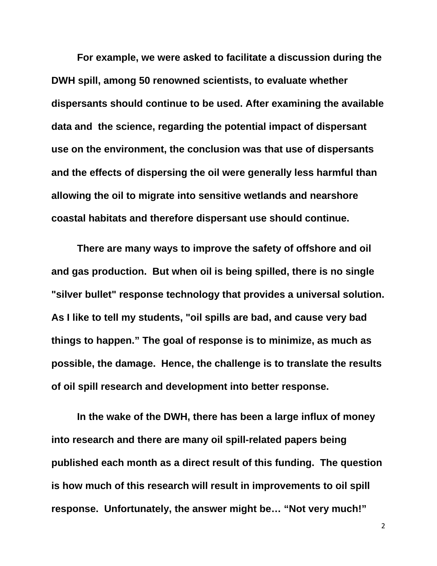**For example, we were asked to facilitate a discussion during the DWH spill, among 50 renowned scientists, to evaluate whether dispersants should continue to be used. After examining the available data and the science, regarding the potential impact of dispersant use on the environment, the conclusion was that use of dispersants and the effects of dispersing the oil were generally less harmful than allowing the oil to migrate into sensitive wetlands and nearshore coastal habitats and therefore dispersant use should continue.** 

**There are many ways to improve the safety of offshore and oil and gas production. But when oil is being spilled, there is no single "silver bullet" response technology that provides a universal solution. As I like to tell my students, "oil spills are bad, and cause very bad things to happen." The goal of response is to minimize, as much as possible, the damage. Hence, the challenge is to translate the results of oil spill research and development into better response.** 

**In the wake of the DWH, there has been a large influx of money into research and there are many oil spill-related papers being published each month as a direct result of this funding. The question is how much of this research will result in improvements to oil spill response. Unfortunately, the answer might be… "Not very much!"**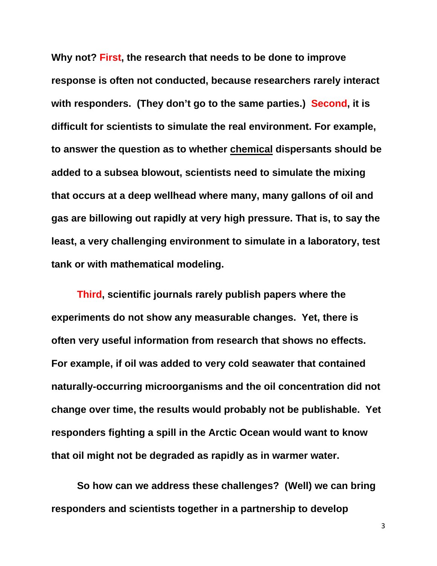**Why not? First, the research that needs to be done to improve response is often not conducted, because researchers rarely interact with responders. (They don't go to the same parties.) Second, it is difficult for scientists to simulate the real environment. For example, to answer the question as to whether chemical dispersants should be added to a subsea blowout, scientists need to simulate the mixing that occurs at a deep wellhead where many, many gallons of oil and gas are billowing out rapidly at very high pressure. That is, to say the least, a very challenging environment to simulate in a laboratory, test tank or with mathematical modeling.** 

**Third, scientific journals rarely publish papers where the experiments do not show any measurable changes. Yet, there is often very useful information from research that shows no effects. For example, if oil was added to very cold seawater that contained naturally-occurring microorganisms and the oil concentration did not change over time, the results would probably not be publishable. Yet responders fighting a spill in the Arctic Ocean would want to know that oil might not be degraded as rapidly as in warmer water.** 

**So how can we address these challenges? (Well) we can bring responders and scientists together in a partnership to develop**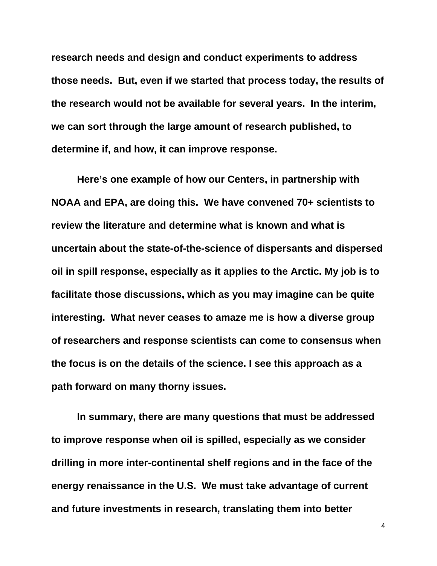**research needs and design and conduct experiments to address those needs. But, even if we started that process today, the results of the research would not be available for several years. In the interim, we can sort through the large amount of research published, to determine if, and how, it can improve response.** 

**Here's one example of how our Centers, in partnership with NOAA and EPA, are doing this. We have convened 70+ scientists to review the literature and determine what is known and what is uncertain about the state-of-the-science of dispersants and dispersed oil in spill response, especially as it applies to the Arctic. My job is to facilitate those discussions, which as you may imagine can be quite interesting. What never ceases to amaze me is how a diverse group of researchers and response scientists can come to consensus when the focus is on the details of the science. I see this approach as a path forward on many thorny issues.** 

**In summary, there are many questions that must be addressed to improve response when oil is spilled, especially as we consider drilling in more inter-continental shelf regions and in the face of the energy renaissance in the U.S. We must take advantage of current and future investments in research, translating them into better**